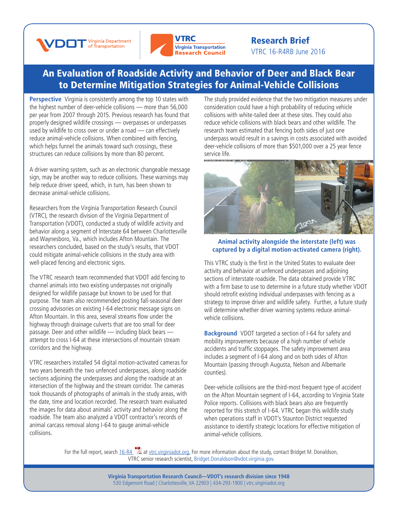



## Research Brief VTRC 16-R4RB June 2016

## [An Evaluation of Roadside Activity and Behavior of Deer and Black Bear](http://www.virginiadot.org/vtrc/main/online_reports/pdf/14-r15.pdf)  to Determine Mitigation Strategies for Animal-Vehicle Collisions

**Perspective** Virginia is consistently among the top 10 states with the highest number of deer-vehicle collisions — more than 56,000 per year from 2007 through 2015. Previous research has found that properly designed wildlife crossings — overpasses or underpasses used by wildlife to cross over or under a road — can effectively reduce animal-vehicle collisions. When combined with fencing, which helps funnel the animals toward such crossings, these structures can reduce collisions by more than 80 percent.

A driver warning system, such as an electronic changeable message sign, may be another way to reduce collisions. These warnings may help reduce driver speed, which, in turn, has been shown to decrease animal-vehicle collisions.

Researchers from the Virginia Transportation Research Council (VTRC), the research division of the Virginia Department of Transportation (VDOT), conducted a study of wildlife activity and behavior along a segment of Interstate 64 between Charlottesville and Waynesboro, Va., which includes Afton Mountain. The researchers concluded, based on the study's results, that VDOT could mitigate animal-vehicle collisions in the study area with well-placed fencing and electronic signs.

The VTRC research team recommended that VDOT add fencing to channel animals into two existing underpasses not originally designed for wildlife passage but known to be used for that purpose. The team also recommended posting fall-seasonal deer crossing advisories on existing I-64 electronic message signs on Afton Mountain. In this area, several streams flow under the highway through drainage culverts that are too small for deer passage. Deer and other wildlife — including black bears attempt to cross I-64 at these intersections of mountain stream corridors and the highway.

VTRC researchers installed 54 digital motion-activated cameras for two years beneath the two unfenced underpasses, along roadside sections adjoining the underpasses and along the roadside at an intersection of the highway and the stream corridor. The cameras took thousands of photographs of animals in the study areas, with the date, time and location recorded. The research team evaluated the images for data about animals' activity and behavior along the roadside. The team also analyzed a VDOT contractor's records of animal carcass removal along I-64 to gauge animal-vehicle collisions.

The study provided evidence that the two mitigation measures under consideration could have a high probability of reducing vehicle collisions with white-tailed deer at these sites. They could also reduce vehicle collisions with black bears and other wildlife. The research team estimated that fencing both sides of just one underpass would result in a savings in costs associated with avoided deer-vehicle collisions of more than \$501,000 over a 25 year fence service life.



## **Animal activity alongside the interstate (left) was captured by a digital motion-activated camera (right).**

This VTRC study is the first in the United States to evaluate deer activity and behavior at unfenced underpasses and adjoining sections of interstate roadside. The data obtained provide VTRC with a firm base to use to determine in a future study whether VDOT should retrofit existing individual underpasses with fencing as a strategy to improve driver and wildlife safety. Further, a future study will determine whether driver warning systems reduce animalvehicle collisions.

**Background** VDOT targeted a section of I-64 for safety and mobility improvements because of a high number of vehicle accidents and traffic stoppages. The safety improvement area includes a segment of I-64 along and on both sides of Afton Mountain (passing through Augusta, Nelson and Albemarle counties).

Deer-vehicle collisions are the third-most frequent type of accident on the Afton Mountain segment of I-64, according to Virginia State Police reports. Collisions with black bears also are frequently reported for this stretch of I-64. VTRC began this wildlife study when operations staff in VDOT's Staunton District requested assistance to identify strategic locations for effective mitigation of animal-vehicle collisions.

For the full report, search  $16-R4$   $\rightarrow$  at [vtrc.virginiadot.org.](http://vtrc.virginiadot.org/) For more information about the study, contact Bridget M. Donaldson, VTRC senior research scientist, [Bridget.Donaldson@vdot.virginia.gov](mailto:bridget.donaldson%40vdot.virginia.gov?subject=).

> **Virginia Transportation Research Council—VDOT's research division since 1948** 530 Edgemont Road | Charlottesville, VA 22903 | 434-293-1900 | [vtrc.virginiadot.org](http://vtrc.virginiadot.org)